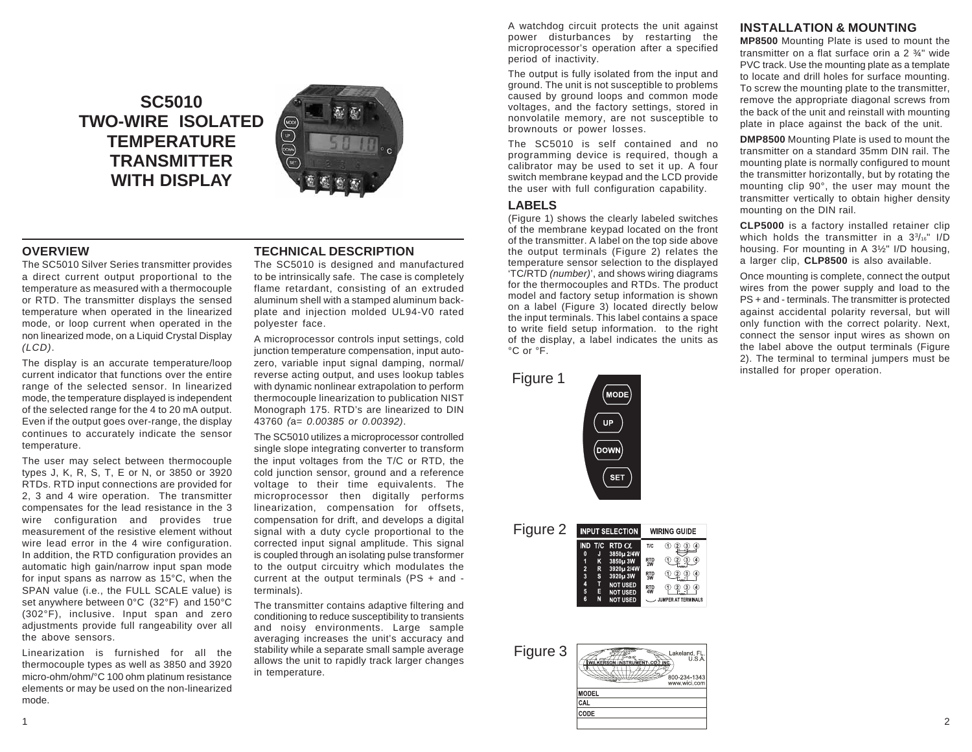# **SC5010 TWO-WIRE ISOLATED TEMPERATURE TRANSMITTER WITH DISPLAY**



## **OVERVIEW**

The SC5010 Silver Series transmitter provides a direct current output proportional to the temperature as measured with a thermocouple or RTD. The transmitter displays the sensed temperature when operated in the linearized mode, or loop current when operated in the non linearized mode, on a Liquid Crystal Display *(LCD)*.

The display is an accurate temperature/loop current indicator that functions over the entire range of the selected sensor. In linearized mode, the temperature displayed is independent of the selected range for the 4 to 20 mA output. Even if the output goes over-range, the display continues to accurately indicate the sensor temperature.

The user may select between thermocouple types J, K, R, S, T, E or N, or 3850 or 3920 RTDs. RTD input connections are provided for 2, 3 and 4 wire operation. The transmitter compensates for the lead resistance in the 3 wire configuration and provides true measurement of the resistive element without wire lead error in the 4 wire configuration. In addition, the RTD configuration provides an automatic high gain/narrow input span mode for input spans as narrow as 15°C, when the SPAN value (i.e., the FULL SCALE value) is set anywhere between 0°C (32°F) and 150°C (302°F), inclusive. Input span and zero adjustments provide full rangeability over all the above sensors.

Linearization is furnished for all the thermocouple types as well as 3850 and 3920 micro-ohm/ohm/°C 100 ohm platinum resistance elements or may be used on the non-linearized mode.

#### **TECHNICAL DESCRIPTION**

The SC5010 is designed and manufactured to be intrinsically safe. The case is completely flame retardant, consisting of an extruded aluminum shell with a stamped aluminum backplate and injection molded UL94-V0 rated polyester face.

A microprocessor controls input settings, cold junction temperature compensation, input autozero, variable input signal damping, normal/ reverse acting output, and uses lookup tables with dynamic nonlinear extrapolation to perform thermocouple linearization to publication NIST Monograph 175. RTD's are linearized to DIN 43760 *(*a*= 0.00385 or 0.00392)*.

The SC5010 utilizes a microprocessor controlled single slope integrating converter to transform the input voltages from the T/C or RTD, the cold junction sensor, ground and a reference voltage to their time equivalents. The microprocessor then digitally performs linearization, compensation for offsets, compensation for drift, and develops a digital signal with a duty cycle proportional to the corrected input signal amplitude. This signal is coupled through an isolating pulse transformer to the output circuitry which modulates the current at the output terminals (PS + and terminals).

The transmitter contains adaptive filtering and conditioning to reduce susceptibility to transients and noisy environments. Large sample averaging increases the unit's accuracy and stability while a separate small sample average allows the unit to rapidly track larger changes in temperature.

A watchdog circuit protects the unit against power disturbances by restarting the microprocessor's operation after a specified period of inactivity.

The output is fully isolated from the input and ground. The unit is not susceptible to problems caused by ground loops and common mode voltages, and the factory settings, stored in nonvolatile memory, are not susceptible to brownouts or power losses.

The SC5010 is self contained and no programming device is required, though a calibrator may be used to set it up. A four switch membrane keypad and the LCD provide the user with full configuration capability.

#### **LABELS**

(Figure 1) shows the clearly labeled switches of the membrane keypad located on the front of the transmitter. A label on the top side above the output terminals (Figure 2) relates the temperature sensor selection to the displayed 'TC/RTD *(number)*', and shows wiring diagrams for the thermocouples and RTDs. The product model and factory setup information is shown on a label (Figure 3) located directly below the input terminals. This label contains a space to write field setup information. to the right of the display, a label indicates the units as °C or °F.



| Figure 2 | <b>INPUT SELECTION</b>    |          | <b>WIRING GUIDE</b>                |           |                       |
|----------|---------------------------|----------|------------------------------------|-----------|-----------------------|
|          | <b>ND</b><br>$\mathbf{0}$ | T/C<br>J | $RTD$ $\alpha$<br>3850µ 2/4W       | T/C       | O)<br>(1)             |
|          | 1<br>$\overline{a}$       | K<br>R   | 3850µ 3W<br>3920µ 2/4W             | RTD<br>2W | ᠗<br>2                |
|          | 3                         | s<br>T   | 3920µ 3W                           | RTD<br>3W | G)<br>3.<br>2)<br>(1) |
|          | 4<br>5                    | Е        | <b>NOT USED</b><br><b>NOT USED</b> | RTD<br>4W | G)<br>3.<br>2)<br>(1) |
|          | 6                         | N        | <b>NOT USED</b>                    |           | JUMPER AT TERMINALS   |

。<br>800-234-134

Figure 3

**MODEL** CAL CODE

# **INSTALLATION & MOUNTING**

**MP8500** Mounting Plate is used to mount the transmitter on a flat surface orin a 2 ¾" wide PVC track. Use the mounting plate as a template to locate and drill holes for surface mounting. To screw the mounting plate to the transmitter, remove the appropriate diagonal screws from the back of the unit and reinstall with mounting plate in place against the back of the unit.

**DMP8500** Mounting Plate is used to mount the transmitter on a standard 35mm DIN rail. The mounting plate is normally configured to mount the transmitter horizontally, but by rotating the mounting clip 90°, the user may mount the transmitter vertically to obtain higher density mounting on the DIN rail.

**CLP5000** is a factory installed retainer clip which holds the transmitter in a  $3^{3}/_{16}$ " I/D housing. For mounting in A 3½" I/D housing, a larger clip, **CLP8500** is also available.

Once mounting is complete, connect the output wires from the power supply and load to the PS + and - terminals. The transmitter is protected against accidental polarity reversal, but will only function with the correct polarity. Next, connect the sensor input wires as shown on the label above the output terminals (Figure 2). The terminal to terminal jumpers must be installed for proper operation.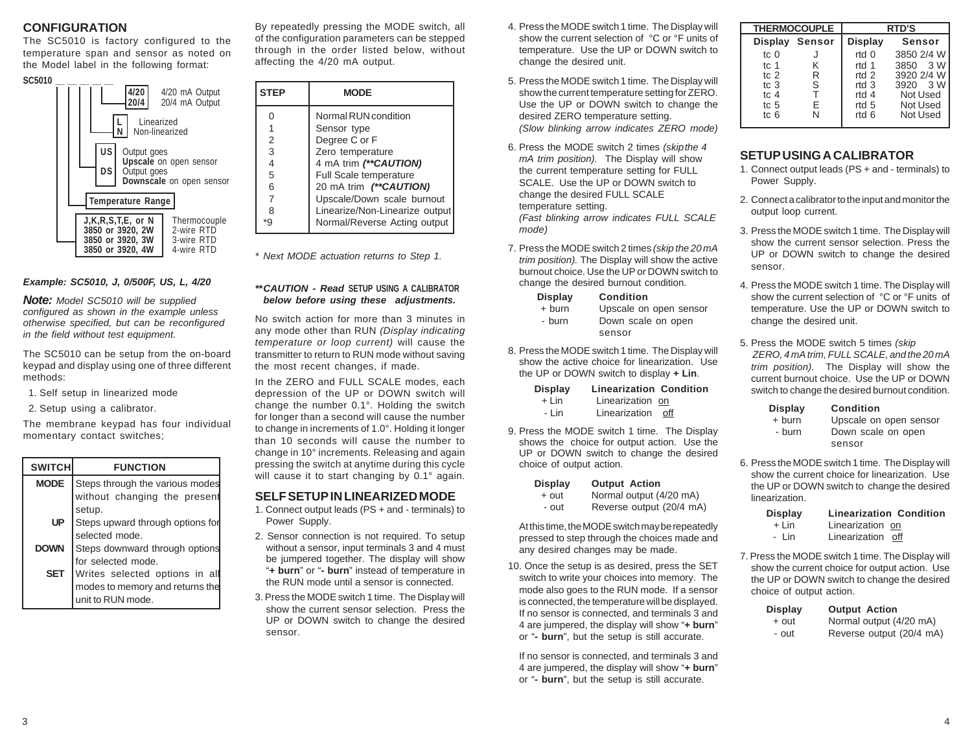## **CONFIGURATION**

The SC5010 is factory configured to the temperature span and sensor as noted on the Model label in the following format:

| SC5010 |                                                                                   |                                                           |
|--------|-----------------------------------------------------------------------------------|-----------------------------------------------------------|
|        | 4/20<br>20/4                                                                      | 4/20 mA Output<br>20/4 mA Output                          |
|        | Linearized<br>Non-linearized                                                      |                                                           |
|        | US<br>Output goes<br>DS<br>Output goes                                            | <b>Upscale</b> on open sensor<br>Downscale on open sensor |
|        | <b>Temperature Range</b>                                                          |                                                           |
|        | $J,K,R,S,T,E,$ or $N$<br>3850 or 3920, 2W<br>3850 or 3920, 3W<br>3850 or 3920, 4W | Thermocouple<br>2-wire RTD<br>3-wire RTD<br>4-wire RTD    |

#### *Example: SC5010, J, 0/500F, US, L, 4/20*

*Note: Model SC5010 will be supplied configured as shown in the example unless otherwise specified, but can be reconfigured in the field without test equipment.*

The SC5010 can be setup from the on-board keypad and display using one of three different methods:

- 1. Self setup in linearized mode
- 2. Setup using a calibrator.

The membrane keypad has four individual momentary contact switches;

| <b>SWITCH</b> | <b>FUNCTION</b>                  |
|---------------|----------------------------------|
| <b>MODE</b>   | Steps through the various modes  |
|               | without changing the present     |
|               | setup.                           |
| <b>UP</b>     | Steps upward through options for |
|               | selected mode.                   |
| <b>DOWN</b>   | Steps downward through options   |
|               | for selected mode.               |
| <b>SET</b>    | Writes selected options in all   |
|               | modes to memory and returns the  |
|               | unit to RUN mode.                |

By repeatedly pressing the MODE switch, all of the configuration parameters can be stepped through in the order listed below, without affecting the 4/20 mA output.

| <b>STEP</b> | <b>MODE</b>                    |
|-------------|--------------------------------|
|             | Normal RUN condition           |
|             | Sensor type                    |
| 2           | Degree C or F                  |
| 3           | Zero temperature               |
| 4           | 4 mA trim (**CAUTION)          |
| 5           | <b>Full Scale temperature</b>  |
| 6           | 20 mA trim (**CAUTION)         |
| 7           | Upscale/Down scale burnout     |
| 8           | Linearize/Non-Linearize output |
| *9          | Normal/Reverse Acting output   |

*\* Next MODE actuation returns to Step 1.*

#### *\*\*CAUTION - Read* **SETUP USING A CALIBRATOR** *below before using these adjustments.*

No switch action for more than 3 minutes in any mode other than RUN *(Display indicating temperature or loop current)* will cause the transmitter to return to RUN mode without saving the most recent changes, if made.

In the ZERO and FULL SCALE modes, each depression of the UP or DOWN switch will change the number 0.1°. Holding the switch for longer than a second will cause the number to change in increments of 1.0°. Holding it longer than 10 seconds will cause the number to change in 10° increments. Releasing and again pressing the switch at anytime during this cycle will cause it to start changing by 0.1° again.

# **SELF SETUP IN LINEARIZED MODE**

- 1. Connect output leads (PS + and terminals) to Power Supply.
- 2. Sensor connection is not required. To setup without a sensor, input terminals 3 and 4 must be jumpered together. The display will show "**+ burn**" or "**- burn**" instead of temperature in the RUN mode until a sensor is connected.
- 3. Press the MODE switch 1 time. The Display will show the current sensor selection. Press the UP or DOWN switch to change the desired sensor.
- 4. Press the MODE switch 1 time. The Display will show the current selection of °C or °F units of temperature. Use the UP or DOWN switch to change the desired unit.
- 5. Press the MODE switch 1 time. The Display will show the current temperature setting for ZERO. Use the UP or DOWN switch to change the desired ZERO temperature setting. *(Slow blinking arrow indicates ZERO mode)*
- 6. Press the MODE switch 2 times *(skipthe 4 mA trim position).* The Display will show the current temperature setting for FULL SCALE. Use the UP or DOWN switch to change the desired FULL SCALE temperature setting. *(Fast blinking arrow indicates FULL SCALE mode)*
- 7. Press the MODE switch 2 times *(skip the 20 mA trim position).* The Display will show the active burnout choice. Use the UP or DOWN switch to change the desired burnout condition.

**Display Condition**

- + burn Upscale on open sensor - burn Down scale on open sensor
- 8. Press the MODE switch 1 time. The Display will show the active choice for linearization. Use the UP or DOWN switch to display **+ Lin**.

| Display | <b>Linearization Condition</b> |  |
|---------|--------------------------------|--|
| $+ Lin$ | Linearization on               |  |
| - Lin   | Linearization off              |  |

9. Press the MODE switch 1 time. The Display shows the choice for output action. Use the UP or DOWN switch to change the desired choice of output action.

| Display | <b>Output Action</b> |  |  |
|---------|----------------------|--|--|
|         |                      |  |  |

| + out | Normal output (4/20 mA)  |
|-------|--------------------------|
| - out | Reverse output (20/4 mA) |

At this time, the MODE switch may be repeatedly pressed to step through the choices made and any desired changes may be made.

10. Once the setup is as desired, press the SET switch to write your choices into memory. The mode also goes to the RUN mode. If a sensor is connected, the temperature will be displayed. If no sensor is connected, and terminals 3 and 4 are jumpered, the display will show "**+ burn**" or "**- burn**", but the setup is still accurate.

If no sensor is connected, and terminals 3 and 4 are jumpered, the display will show "**+ burn**" or "**- burn**", but the setup is still accurate.

| <b>THERMOCOUPLE</b> |                | <b>RTD'S</b>   |               |  |
|---------------------|----------------|----------------|---------------|--|
|                     | Display Sensor | <b>Display</b> | <b>Sensor</b> |  |
| tc $\Omega$         | J              | rtd 0          | 3850 2/4 W    |  |
| tc $1$              | κ              | rtd 1          | 3850 3 W      |  |
| tc. $2$             | R              | rtd2           | 3920 2/4 W    |  |
| tc $3$              | S              | rtd3           | 3920 3 W      |  |
| tc $4$              | T              | rtd 4          | Not Used      |  |
| tc <sub>5</sub>     | E              | rtd 5          | Not Used      |  |
| tc $6$              | N              | rtd 6          | Not Used      |  |

# **SETUP USING A CALIBRATOR**

- 1. Connect output leads (PS + and terminals) to Power Supply.
- 2. Connect a calibrator to the input and monitor the output loop current.
- 3. Press the MODE switch 1 time. The Display will show the current sensor selection. Press the UP or DOWN switch to change the desired sensor.
- 4. Press the MODE switch 1 time. The Display will show the current selection of °C or °F units of temperature. Use the UP or DOWN switch to change the desired unit.
- 5. Press the MODE switch 5 times *(skip ZERO, 4 mA trim, FULL SCALE, and the 20 mA trim position).* The Display will show the current burnout choice. Use the UP or DOWN switch to change the desired burnout condition.

| <b>Display</b> | <b>Condition</b> |
|----------------|------------------|
|                |                  |

| + burn | Upscale on open sensor |
|--------|------------------------|
| - burn | Down scale on open     |

sensor

6. Press the MODE switch 1 time. The Display will show the current choice for linearization. Use the UP or DOWN switch to change the desired linearization.

| <b>Display</b>  | <b>Linearization Condition</b> |
|-----------------|--------------------------------|
| + Lin           | Linearization on               |
| $ \mathsf{lin}$ | Linearization off              |

7. Press the MODE switch 1 time. The Display will show the current choice for output action. Use the UP or DOWN switch to change the desired choice of output action.

| <b>Display</b> | <b>Output Action</b>     |
|----------------|--------------------------|
| + out          | Normal output (4/20 mA)  |
| - out          | Reverse output (20/4 mA) |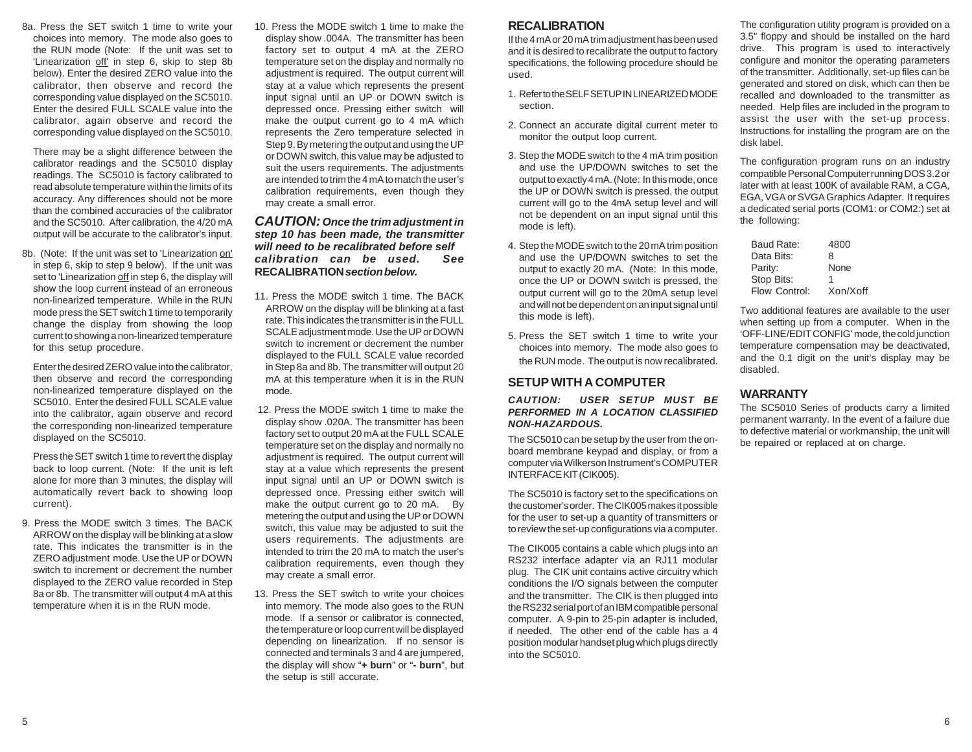8a. Press the SET switch 1 time to write your choices into memory. The mode also goes to the RUN mode (Note: If the unit was set to 'Linearization off' in step 6, skip to step 8b below). Enter the desired ZERO value into the calibrator, then observe and record the corresponding value displayed on the SC5010. Enter the desired FULL SCALE value into the calibrator, again observe and record the corresponding value displayed on the SC5010.

There may be a slight difference between the calibrator readings and the SC5010 display readings. The SC5010 is factory calibrated to read absolute temperature within the limits of its accuracy. Any differences should not be more than the combined accuracies of the calibrator and the SC5010. After calibration, the 4/20 mA output will be accurate to the calibrator's input.

8b. (Note: If the unit was set to 'Linearization on' in step 6, skip to step 9 below). If the unit was set to 'Linearization off in step 6, the display will show the loop current instead of an erroneous non-linearized temperature. While in the RUN mode press the SET switch 1 time to temporarily change the display from showing the loop current to showing a non-linearized temperature for this setup procedure.

Enter the desired ZERO value into the calibrator, then observe and record the corresponding non-linearized temperature displayed on the SC5010. Enter the desired FULL SCALE value into the calibrator, again observe and record the corresponding non-linearized temperature displayed on the SC5010.

Press the SET switch 1 time to revert the display back to loop current. (Note: If the unit is left alone for more than 3 minutes, the display will automatically revert back to showing loop current).

9. Press the MODE switch 3 times. The BACK ARROW on the display will be blinking at a slow rate. This indicates the transmitter is in the ZERO adjustment mode. Use the UP or DOWN switch to increment or decrement the number displayed to the ZERO value recorded in Step 8a or 8b. The transmitter will output 4 mA at this temperature when it is in the RUN mode.

10. Press the MODE switch 1 time to make the display show .004A. The transmitter has been factory set to output 4 mA at the ZERO temperature set on the display and normally no adjustment is required. The output current will stay at a value which represents the present input signal until an UP or DOWN switch is depressed once. Pressing either switch will make the output current go to 4 mA which represents the Zero temperature selected in Step 9. By metering the output and using the UP or DOWN switch, this value may be adjusted to suit the users requirements. The adjustments are intended to trim the 4 mA to match the user's calibration requirements, even though they may create a small error.

#### *CAUTION:Once the trim adjustment in step 10 has been made, the transmitter will need to be recalibrated before self calibration can be used. See* **RECALIBRATION** *section below.*

- 11. Press the MODE switch 1 time. The BACK ARROW on the display will be blinking at a fast rate. This indicates the transmitter is in the FULL SCALE adjustment mode. Use the UP or DOWN switch to increment or decrement the number displayed to the FULL SCALE value recorded in Step 8a and 8b. The transmitter will output 20 mA at this temperature when it is in the RUN mode.
- 12. Press the MODE switch 1 time to make the display show .020A. The transmitter has been factory set to output 20 mA at the FULL SCALE temperature set on the display and normally no adjustment is required. The output current will stay at a value which represents the present input signal until an UP or DOWN switch is depressed once. Pressing either switch will make the output current go to 20 mA. By metering the output and using the UP or DOWN switch, this value may be adjusted to suit the users requirements. The adjustments are intended to trim the 20 mA to match the user's calibration requirements, even though they may create a small error.
- 13. Press the SET switch to write your choices into memory. The mode also goes to the RUN mode. If a sensor or calibrator is connected, the temperature or loop current will be displayed depending on linearization. If no sensor is connected and terminals 3 and 4 are jumpered, the display will show "**+ burn**" or "**- burn**", but the setup is still accurate.

# **RECALIBRATION**

If the 4 mA or 20 mA trim adjustment has been used and it is desired to recalibrate the output to factory specifications, the following procedure should be used.

- 1. Refer to the SELF SETUP IN LINEARIZED MODE section.
- 2. Connect an accurate digital current meter to monitor the output loop current.
- 3. Step the MODE switch to the 4 mA trim position and use the UP/DOWN switches to set the output to exactly 4 mA. (Note: In this mode, once the UP or DOWN switch is pressed, the output current will go to the 4mA setup level and will not be dependent on an input signal until this mode is left).
- 4. Step the MODE switch to the 20 mA trim position and use the UP/DOWN switches to set the output to exactly 20 mA. (Note: In this mode, once the UP or DOWN switch is pressed, the output current will go to the 20mA setup level and will not be dependent on an input signal until this mode is left).
- 5. Press the SET switch 1 time to write your choices into memory. The mode also goes to the RUN mode. The output is now recalibrated.

## **SETUP WITH A COMPUTER**

#### *CAUTION: USER SETUP MUST BE PERFORMED IN A LOCATION CLASSIFIED NON-HAZARDOUS.*

The SC5010 can be setup by the user from the onboard membrane keypad and display, or from a computer via Wilkerson Instrument's COMPUTER INTERFACE KIT (CIK005).

The SC5010 is factory set to the specifications on the customer's order. The CIK005 makes it possible for the user to set-up a quantity of transmitters or to review the set-up configurations via a computer.

The CIK005 contains a cable which plugs into an RS232 interface adapter via an RJ11 modular plug. The CIK unit contains active circuitry which conditions the I/O signals between the computer and the transmitter. The CIK is then plugged into the RS232 serial port of an IBM compatible personal computer. A 9-pin to 25-pin adapter is included, if needed. The other end of the cable has a 4 position modular handset plug which plugs directly into the SC5010.

The configuration utility program is provided on a 3.5" floppy and should be installed on the hard drive. This program is used to interactively configure and monitor the operating parameters of the transmitter. Additionally, set-up files can be generated and stored on disk, which can then be recalled and downloaded to the transmitter as needed. Help files are included in the program to assist the user with the set-up process. Instructions for installing the program are on the disk label.

The configuration program runs on an industry compatible Personal Computer running DOS 3.2 or later with at least 100K of available RAM, a CGA, EGA, VGA or SVGA Graphics Adapter. It requires a dedicated serial ports (COM1: or COM2:) set at the following:

| Baud Rate:    | 4800     |
|---------------|----------|
| Data Bits:    | 8        |
| Parity:       | None     |
| Stop Bits:    | 1        |
| Flow Control: | Xon/Xoff |

Two additional features are available to the user when setting up from a computer. When in the 'OFF-LINE/EDIT CONFIG' mode, the cold junction temperature compensation may be deactivated, and the 0.1 digit on the unit's display may be disabled.

# **WARRANTY**

The SC5010 Series of products carry a limited permanent warranty. In the event of a failure due to defective material or workmanship, the unit will be repaired or replaced at on charge.